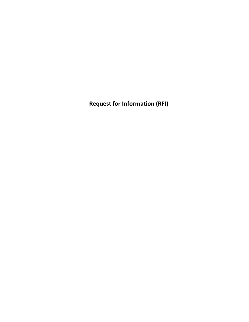**Request for Information (RFI)**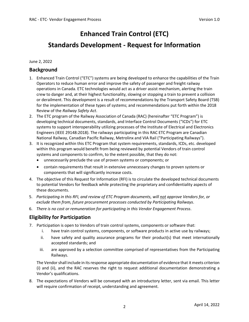# **Enhanced Train Control (ETC) Standards Development - Request for Information**

June 2, 2022

## **Background**

- 1. Enhanced Train Control ("ETC") systems are being developed to enhance the capabilities of the Train Operators to reduce human error and improve the safety of passenger and freight railway operations in Canada. ETC technologies would act as a driver assist mechanism, alerting the train crew to danger and, at their highest functionality, slowing or stopping a train to prevent a collision or derailment. This development is a result of recommendations by the Transport Safety Board (TSB) for the implementation of these types of systems; and recommendations put forth within the 2018 Review of the *Railway Safety Act*.
- 2. The ETC program of the Railway Association of Canada (RAC) (hereinafter "ETC Program") is developing technical documents, standards, and Interface Control Documents ("ICDs") for ETC systems to support interoperability utilizing processes of the Institute of Electrical and Electronics Engineers (IEEE 29148:2018). The railways participating in this RAC ETC Program are Canadian National Railway, Canadian Pacific Railway, Metrolinx and VIA Rail ("Participating Railways").
- 3. It is recognized within this ETC Program that system requirements, standards, ICDs, etc. developed within this program would benefit from being reviewed by potential Vendors of train control systems and components to confirm, to the extent possible, that they do not:
	- unnecessarily preclude the use of proven systems or components; or
	- contain requirements that result in extensive unnecessary changes to proven systems or components that will significantly increase costs.
- 4. The objective of this Request for Information (RFI) is to circulate the developed technical documents to potential Vendors for feedback while protecting the proprietary and confidentiality aspects of these documents.
- 5. *Participating in this RFI, and review of ETC Program documents, will not approve Vendors for, or exclude them from, future procurement processes conducted by Participating Railways*.
- 6. *There is no cost or remuneration for participating in this Vendor Engagement Process*.

# **Eligibility for Participation**

- 7. Participation is open to Vendors of train control systems, components or software that:
	- i. have train control systems, components, or software products in active use by railways;
	- ii. have safety and quality assurance programs for their product(s) that meet internationally accepted standards; and
	- iii. are approved by a selection committee comprised of representatives from the Participating Railways.

The Vendor shall include in its response appropriate documentation of evidence that it meets criterion (i) and (ii), and the RAC reserves the right to request additional documentation demonstrating a Vendor's qualifications.

8. The expectations of Vendors will be conveyed with an introductory letter, sent via email. This letter will require confirmation of receipt, understanding and agreement.